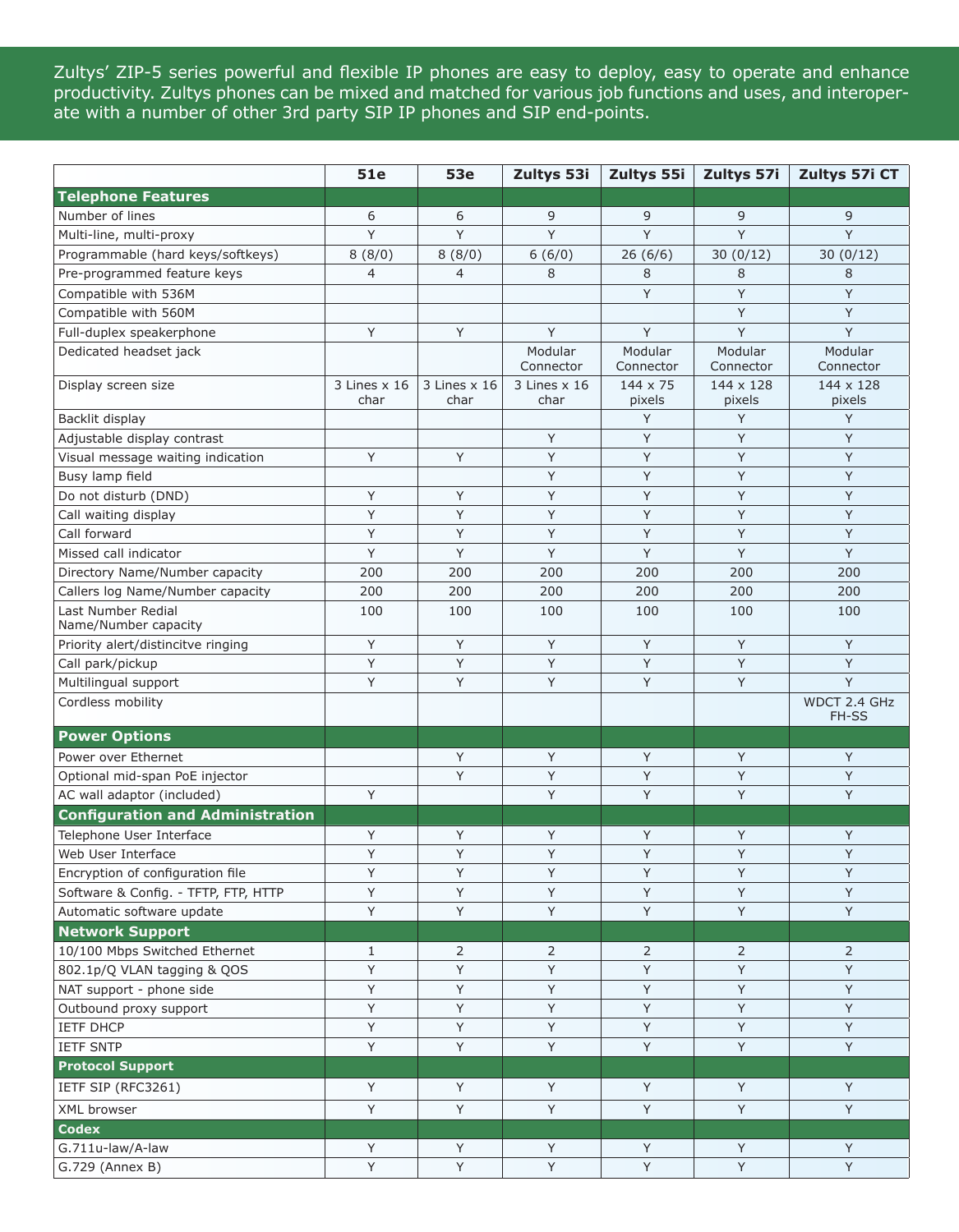Zultys' ZIP-5 series powerful and flexible IP phones are easy to deploy, easy to operate and enhance productivity. Zultys phones can be mixed and matched for various job functions and uses, and interoperate with a number of other 3rd party SIP IP phones and SIP end-points.

|                                            | 51e                           | <b>53e</b>           | Zultys 53i                    | Zultys 55i                | Zultys 57i           | Zultys 57i CT         |
|--------------------------------------------|-------------------------------|----------------------|-------------------------------|---------------------------|----------------------|-----------------------|
| <b>Telephone Features</b>                  |                               |                      |                               |                           |                      |                       |
| Number of lines                            | 6                             | 6                    | 9                             | 9                         | 9                    | 9                     |
| Multi-line, multi-proxy                    | Y                             | Y                    | Y                             | Y                         | Y                    | Y                     |
| Programmable (hard keys/softkeys)          | 8(8/0)                        | 8(8/0)               | 6(6/0)                        | 26(6/6)                   | 30(0/12)             | 30(0/12)              |
| Pre-programmed feature keys                | $\overline{4}$                | $\overline{4}$       | 8                             | 8                         | 8                    | 8                     |
| Compatible with 536M                       |                               |                      |                               | Y                         | Y                    | Y                     |
| Compatible with 560M                       |                               |                      |                               |                           | Y                    | Y                     |
| Full-duplex speakerphone                   | Y                             | Υ                    | Y                             | Y                         | Y                    | Y                     |
| Dedicated headset jack                     |                               |                      | Modular<br>Connector          | Modular<br>Connector      | Modular<br>Connector | Modular<br>Connector  |
| Display screen size                        | $3$ Lines $\times$ 16<br>char | 3 Lines x 16<br>char | $3$ Lines $\times$ 16<br>char | $144 \times 75$<br>pixels | 144 x 128<br>pixels  | 144 x 128<br>pixels   |
| Backlit display                            |                               |                      |                               | Y                         | Y                    | Y                     |
| Adjustable display contrast                |                               |                      | Υ                             | Y                         | Y                    | Y                     |
| Visual message waiting indication          | Y                             | Y                    | Y                             | Y                         | Y                    | Y                     |
| Busy lamp field                            |                               |                      | Y                             | Y                         | Y                    | Y                     |
| Do not disturb (DND)                       | Y                             | Y                    | Y                             | Y                         | Y                    | Y                     |
| Call waiting display                       | Υ                             | Y                    | Y                             | Y                         | Υ                    | Y                     |
| Call forward                               | Υ                             | Y                    | Y                             | Y                         | Y                    | Y                     |
| Missed call indicator                      | Y                             | Y                    | Y                             | Y                         | Y                    | Y                     |
| Directory Name/Number capacity             | 200                           | 200                  | 200                           | 200                       | 200                  | 200                   |
| Callers log Name/Number capacity           | 200                           | 200                  | 200                           | 200                       | 200                  | 200                   |
| Last Number Redial<br>Name/Number capacity | 100                           | 100                  | 100                           | 100                       | 100                  | 100                   |
| Priority alert/distincitve ringing         | Y                             | Y                    | Υ                             | Y                         | Y                    | Y                     |
| Call park/pickup                           | Y                             | Y                    | Y                             | Y                         | Y                    | Y                     |
| Multilingual support                       | Y                             | Y                    | Y                             | Y                         | Y                    | Y                     |
| Cordless mobility                          |                               |                      |                               |                           |                      | WDCT 2.4 GHz<br>FH-SS |
| <b>Power Options</b>                       |                               |                      |                               |                           |                      |                       |
| Power over Ethernet                        |                               | Υ                    | Y                             | Y                         | Υ                    | Y                     |
| Optional mid-span PoE injector             |                               | Υ                    | Υ                             | Y                         | Υ                    | Υ                     |
| AC wall adaptor (included)                 | Y                             |                      | Y                             | Y                         | Y                    | Y                     |
| <b>Configuration and Administration</b>    |                               |                      |                               |                           |                      |                       |
| Telephone User Interface                   | Y                             | Y                    | Y                             | Y                         | Y                    | Y                     |
| Web User Interface                         | Y                             | Y                    | Υ                             | Y                         | Y                    | Y                     |
| Encryption of configuration file           | Y                             | Y                    | Y                             | Y                         | Y                    | Y                     |
| Software & Config. - TFTP, FTP, HTTP       | Y                             | Υ                    | Υ                             | Y                         | Y                    | Y                     |
| Automatic software update                  | Y                             | Y                    | Y                             | Y                         | Y                    | Y                     |
| <b>Network Support</b>                     |                               |                      |                               |                           |                      |                       |
| 10/100 Mbps Switched Ethernet              | $\mathbf{1}$                  | 2                    | 2                             | $\overline{2}$            | 2                    | 2                     |
| 802.1p/Q VLAN tagging & QOS                | Y                             | Y                    | Y                             | Y                         | Y                    | Y                     |
| NAT support - phone side                   | Υ                             | Υ                    | Υ                             | Y                         | Y                    | Y                     |
| Outbound proxy support                     | Y                             | Y                    | Y                             | Y                         | Y                    | Y                     |
| <b>IETF DHCP</b>                           | Y                             | Y                    | Υ                             | Y                         | Y                    | Y                     |
| <b>IETF SNTP</b>                           | Y                             | Y                    | Y                             | Y                         | Y                    | Y                     |
| <b>Protocol Support</b>                    |                               |                      |                               |                           |                      |                       |
| IETF SIP (RFC3261)                         | Y                             | Y                    | Y                             | Y                         | Y                    | Y                     |
| XML browser                                | Y                             | Υ                    | Υ                             | Y                         | Y                    | Y                     |
| <b>Codex</b>                               |                               |                      |                               |                           |                      |                       |
| G.711u-law/A-law                           | Y                             | Y                    | Y                             | Y                         | Υ                    | $\sf Y$               |
| G.729 (Annex B)                            | Y                             | Y                    | Y                             | Y                         | Y                    | Y                     |